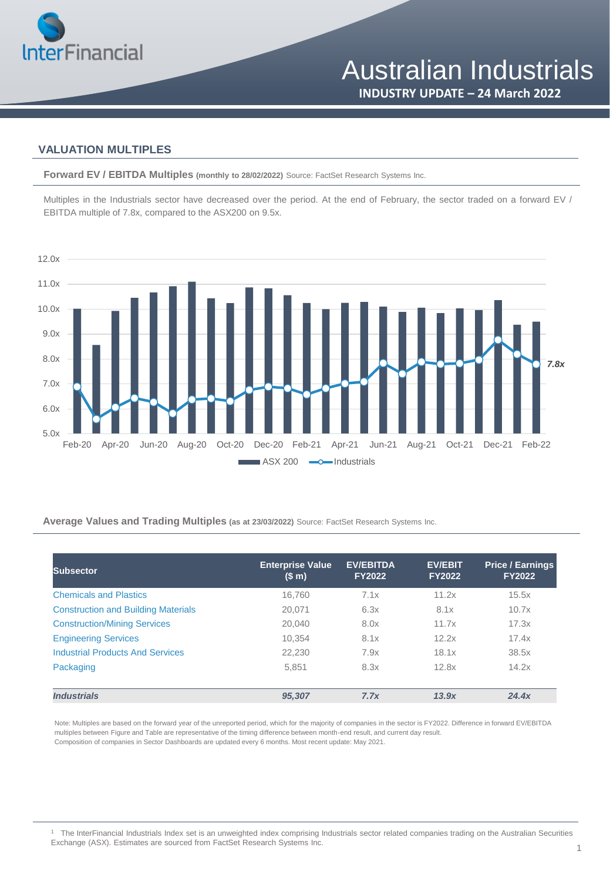

### **VALUATION MULTIPLES**

**Forward EV / EBITDA Multiples (monthly to 28/02/2022)** Source: FactSet Research Systems Inc.

Multiples in the Industrials sector have decreased over the period. At the end of February, the sector traded on a forward EV / EBITDA multiple of 7.8x, compared to the ASX200 on 9.5x.



#### **Average Values and Trading Multiples (as at 23/03/2022)** Source: FactSet Research Systems Inc.

| <b>Subsector</b>                           | <b>Enterprise Value</b><br>(\$m) | <b>EV/EBITDA</b><br><b>FY2022</b> | <b>EV/EBIT</b><br><b>FY2022</b> | <b>Price / Earnings</b><br><b>FY2022</b> |
|--------------------------------------------|----------------------------------|-----------------------------------|---------------------------------|------------------------------------------|
| <b>Chemicals and Plastics</b>              | 16.760                           | 7.1x                              | 11.2x                           | 15.5x                                    |
| <b>Construction and Building Materials</b> | 20.071                           | 6.3x                              | 8.1x                            | 10.7x                                    |
| <b>Construction/Mining Services</b>        | 20.040                           | 8.0x                              | 11.7x                           | 17.3x                                    |
| <b>Engineering Services</b>                | 10.354                           | 8.1x                              | 12.2x                           | 17.4x                                    |
| <b>Industrial Products And Services</b>    | 22,230                           | 7.9x                              | 18.1x                           | 38.5x                                    |
| Packaging                                  | 5.851                            | 8.3x                              | 12.8x                           | 14.2x                                    |
| <b>Industrials</b>                         | 95,307                           | 7.7x                              | 13.9x                           | 24.4x                                    |

Note: Multiples are based on the forward year of the unreported period, which for the majority of companies in the sector is FY2022. Difference in forward EV/EBITDA multiples between Figure and Table are representative of the timing difference between month-end result, and current day result. Composition of companies in Sector Dashboards are updated every 6 months. Most recent update: May 2021.

<sup>1</sup> The InterFinancial Industrials Index set is an unweighted index comprising Industrials sector related companies trading on the Australian Securities Exchange (ASX). Estimates are sourced from FactSet Research Systems Inc.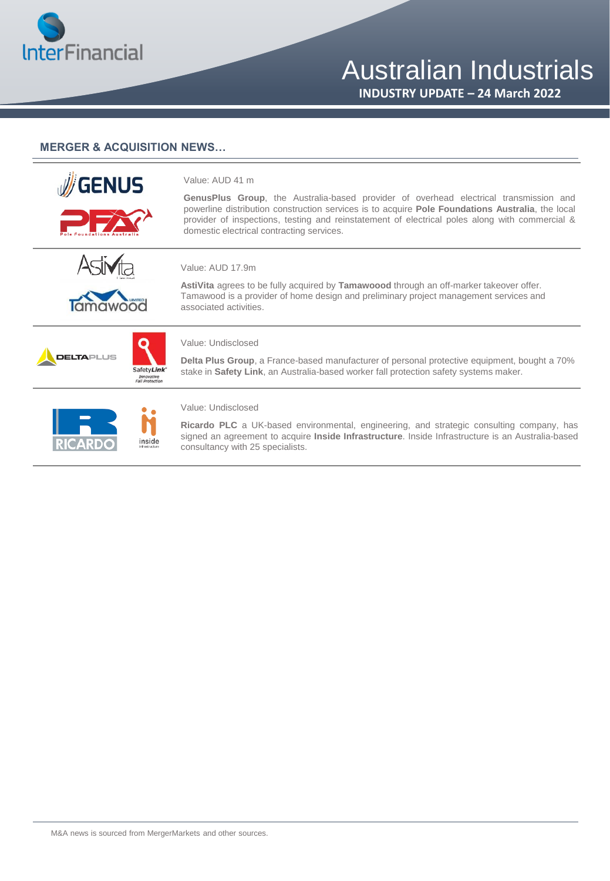

# Australian Industrials

**INDUSTRY UPDATE – 24 March 2022**

#### **MERGER & ACQUISITION NEWS…**

| <b>GENUS</b>     |                         | Value: AUD 41 m<br><b>GenusPlus Group</b> , the Australia-based provider of overhead electrical transmission and<br>powerline distribution construction services is to acquire Pole Foundations Australia, the local<br>provider of inspections, testing and reinstatement of electrical poles along with commercial &<br>domestic electrical contracting services. |
|------------------|-------------------------|---------------------------------------------------------------------------------------------------------------------------------------------------------------------------------------------------------------------------------------------------------------------------------------------------------------------------------------------------------------------|
|                  |                         | Value: AUD 17.9m<br>AstiVita agrees to be fully acquired by Tamawoood through an off-marker takeover offer.<br>Tamawood is a provider of home design and preliminary project management services and<br>associated activities.                                                                                                                                      |
| <b>ELTA</b> PLUS | SafetyLink <sup>*</sup> | Value: Undisclosed<br>Delta Plus Group, a France-based manufacturer of personal protective equipment, bought a 70%<br>stake in Safety Link, an Australia-based worker fall protection safety systems maker.                                                                                                                                                         |
|                  | inside                  | Value: Undisclosed<br><b>Ricardo PLC</b> a UK-based environmental, engineering, and strategic consulting company, has<br>signed an agreement to acquire <b>Inside Infrastructure</b> . Inside Infrastructure is an Australia-based<br>consultancy with 25 specialists.                                                                                              |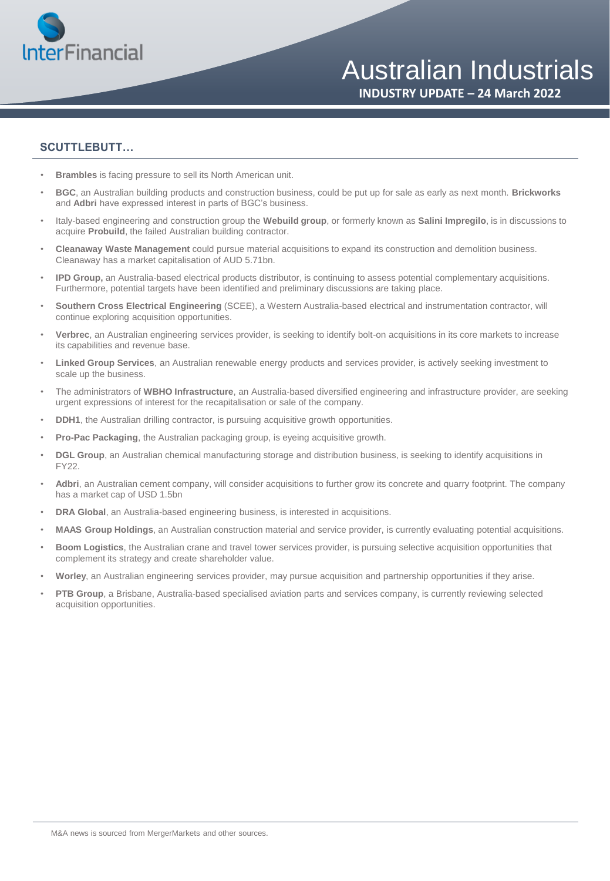

#### **SCUTTLEBUTT…**

- **Brambles** is facing pressure to sell its North American unit.
- **BGC**, an Australian building products and construction business, could be put up for sale as early as next month. **Brickworks**  and **Adbri** have expressed interest in parts of BGC's business.
- Italy-based engineering and construction group the **Webuild group**, or formerly known as **Salini Impregilo**, is in discussions to acquire **Probuild**, the failed Australian building contractor.
- **Cleanaway Waste Management** could pursue material acquisitions to expand its construction and demolition business. Cleanaway has a market capitalisation of AUD 5.71bn.
- **IPD Group,** an Australia-based electrical products distributor, is continuing to assess potential complementary acquisitions. Furthermore, potential targets have been identified and preliminary discussions are taking place.
- **Southern Cross Electrical Engineering** (SCEE), a Western Australia-based electrical and instrumentation contractor, will continue exploring acquisition opportunities.
- **Verbrec**, an Australian engineering services provider, is seeking to identify bolt-on acquisitions in its core markets to increase its capabilities and revenue base.
- **Linked Group Services**, an Australian renewable energy products and services provider, is actively seeking investment to scale up the business.
- The administrators of **WBHO Infrastructure**, an Australia-based diversified engineering and infrastructure provider, are seeking urgent expressions of interest for the recapitalisation or sale of the company.
- **DDH1**, the Australian drilling contractor, is pursuing acquisitive growth opportunities.
- **Pro-Pac Packaging**, the Australian packaging group, is eyeing acquisitive growth.
- **DGL Group**, an Australian chemical manufacturing storage and distribution business, is seeking to identify acquisitions in FY22.
- **Adbri**, an Australian cement company, will consider acquisitions to further grow its concrete and quarry footprint. The company has a market cap of USD 1.5bn
- **DRA Global**, an Australia-based engineering business, is interested in acquisitions.
- **MAAS Group Holdings**, an Australian construction material and service provider, is currently evaluating potential acquisitions.
- **Boom Logistics**, the Australian crane and travel tower services provider, is pursuing selective acquisition opportunities that complement its strategy and create shareholder value.
- **Worley**, an Australian engineering services provider, may pursue acquisition and partnership opportunities if they arise.
- **PTB Group**, a Brisbane, Australia-based specialised aviation parts and services company, is currently reviewing selected acquisition opportunities.